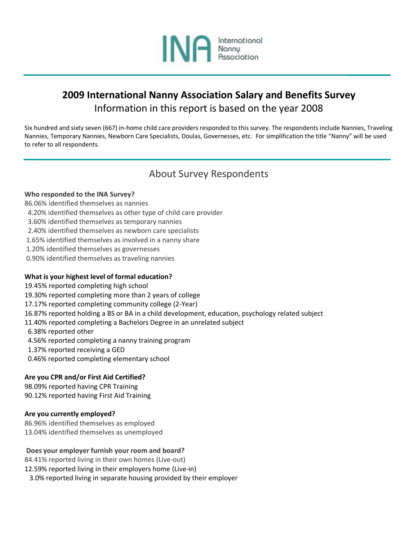

# **2009 International Nanny Association Salary and Benefits Survey** Information in this report is based on the year 2008

Six hundred and sixty seven (667) in-home child care providers responded to this survey. The respondents include Nannies, Traveling Nannies, Temporary Nannies, Newborn Care Specialists, Doulas, Governesses, etc. For simplification the title "Nanny" will be used to refer to all respondents.

## About Survey Respondents

### **Who responded to the INA Survey?**

86.06% identified themselves as nannies

- 4.20% identified themselves as other type of child care provider
- 3.60% identified themselves as temporary nannies
- 2.40% identified themselves as newborn care specialists
- 1.65% identified themselves as involved in a nanny share
- 1.20% identified themselves as governesses
- 0.90% identified themselves as traveling nannies

### **What is your highest level of formal education?**

- 19.45% reported completing high school
- 19.30% reported completing more than 2 years of college
- 17.17% reported completing community college (2-Year)
- 16.87% reported holding a BS or BA in a child development, education, psychology related subject
- 11.40% reported completing a Bachelors Degree in an unrelated subject
- 6.38% reported other
- 4.56% reported completing a nanny training program
- 1.37% reported receiving a GED
- 0.46% reported completing elementary school

### **Are you CPR and/or First Aid Certified?**

98.09% reported having CPR Training 90.12% reported having First Aid Training

### **Are you currently employed?**

86.96% identified themselves as employed 13.04% identified themselves as unemployed

### **Does your employer furnish your room and board?**

84.41% reported living in their own homes (Live-out) 12.59% reported living in their employers home (Live-in) 3.0% reported living in separate housing provided by their employer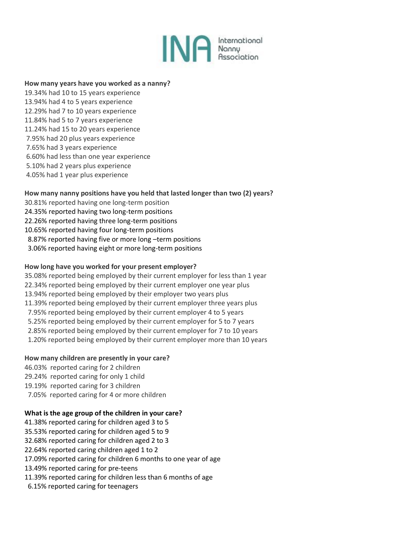

#### **How many years have you worked as a nanny?**

19.34% had 10 to 15 years experience 13.94% had 4 to 5 years experience 12.29% had 7 to 10 years experience 11.84% had 5 to 7 years experience 11.24% had 15 to 20 years experience 7.95% had 20 plus years experience 7.65% had 3 years experience 6.60% had less than one year experience 5.10% had 2 years plus experience 4.05% had 1 year plus experience

### **How many nanny positions have you held that lasted longer than two (2) years?**

- 30.81% reported having one long-term position
- 24.35% reported having two long-term positions
- 22.26% reported having three long-term positions
- 10.65% reported having four long-term positions
- 8.87% reported having five or more long –term positions
- 3.06% reported having eight or more long-term positions

### **How long have you worked for your present employer?**

35.08% reported being employed by their current employer for less than 1 year 22.34% reported being employed by their current employer one year plus 13.94% reported being employed by their employer two years plus 11.39% reported being employed by their current employer three years plus 7.95% reported being employed by their current employer 4 to 5 years 5.25% reported being employed by their current employer for 5 to 7 years 2.85% reported being employed by their current employer for 7 to 10 years 1.20% reported being employed by their current employer more than 10 years

#### **How many children are presently in your care?**

46.03% reported caring for 2 children 29.24% reported caring for only 1 child 19.19% reported caring for 3 children 7.05% reported caring for 4 or more children

### **What is the age group of the children in your care?**

41.38% reported caring for children aged 3 to 5 35.53% reported caring for children aged 5 to 9 32.68% reported caring for children aged 2 to 3 22.64% reported caring children aged 1 to 2 17.09% reported caring for children 6 months to one year of age 13.49% reported caring for pre-teens 11.39% reported caring for children less than 6 months of age 6.15% reported caring for teenagers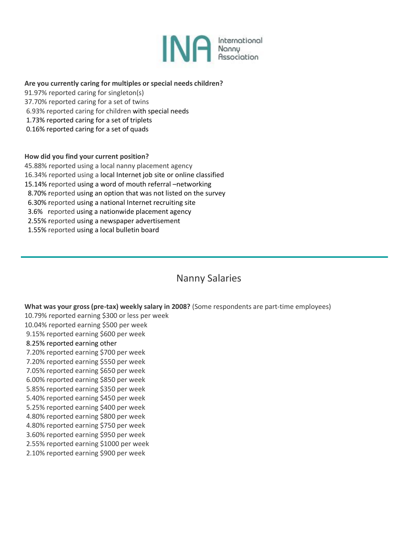

### **Are you currently caring for multiples or special needs children?**

- 91.97% reported caring for singleton(s)
- 37.70% reported caring for a set of twins
- 6.93% reported caring for children with special needs
- 1.73% reported caring for a set of triplets
- 0.16% reported caring for a set of quads

**How did you find your current position?**

45.88% reported using a local nanny placement agency

16.34% reported using a local Internet job site or online classified

- 15.14% reported using a word of mouth referral –networking
- 8.70% reported using an option that was not listed on the survey
- 6.30% reported using a national Internet recruiting site
- 3.6% reported using a nationwide placement agency
- 2.55% reported using a newspaper advertisement
- 1.55% reported using a local bulletin board

## Nanny Salaries

### **What was your gross (pre-tax) weekly salary in 2008?** (Some respondents are part-time employees)

10.79% reported earning \$300 or less per week

- 10.04% reported earning \$500 per week
- 9.15% reported earning \$600 per week
- 8.25% reported earning other
- 7.20% reported earning \$700 per week
- 7.20% reported earning \$550 per week
- 7.05% reported earning \$650 per week
- 6.00% reported earning \$850 per week
- 5.85% reported earning \$350 per week 5.40% reported earning \$450 per week
- 5.25% reported earning \$400 per week
- 4.80% reported earning \$800 per week
- 4.80% reported earning \$750 per week
- 3.60% reported earning \$950 per week
- 2.55% reported earning \$1000 per week
- 2.10% reported earning \$900 per week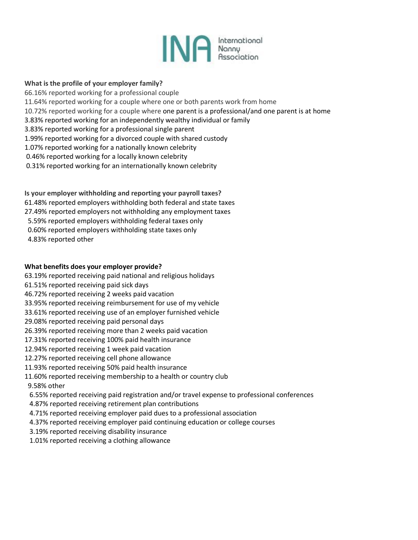

### **What is the profile of your employer family?**

66.16% reported working for a professional couple 11.64% reported working for a couple where one or both parents work from home 10.72% reported working for a couple where one parent is a professional/and one parent is at home 3.83% reported working for an independently wealthy individual or family 3.83% reported working for a professional single parent 1.99% reported working for a divorced couple with shared custody 1.07% reported working for a nationally known celebrity 0.46% reported working for a locally known celebrity 0.31% reported working for an internationally known celebrity

**Is your employer withholding and reporting your payroll taxes?** 61.48% reported employers withholding both federal and state taxes 27.49% reported employers not withholding any employment taxes 5.59% reported employers withholding federal taxes only 0.60% reported employers withholding state taxes only 4.83% reported other

### **What benefits does your employer provide?**

- 63.19% reported receiving paid national and religious holidays
- 61.51% reported receiving paid sick days
- 46.72% reported receiving 2 weeks paid vacation
- 33.95% reported receiving reimbursement for use of my vehicle
- 33.61% reported receiving use of an employer furnished vehicle
- 29.08% reported receiving paid personal days
- 26.39% reported receiving more than 2 weeks paid vacation
- 17.31% reported receiving 100% paid health insurance
- 12.94% reported receiving 1 week paid vacation
- 12.27% reported receiving cell phone allowance
- 11.93% reported receiving 50% paid health insurance
- 11.60% reported receiving membership to a health or country club
- 9.58% other
- 6.55% reported receiving paid registration and/or travel expense to professional conferences
- 4.87% reported receiving retirement plan contributions
- 4.71% reported receiving employer paid dues to a professional association
- 4.37% reported receiving employer paid continuing education or college courses
- 3.19% reported receiving disability insurance
- 1.01% reported receiving a clothing allowance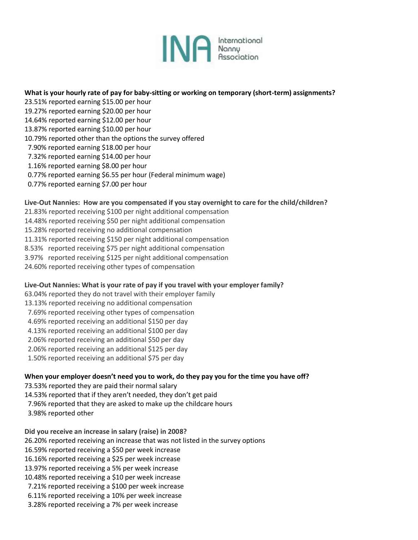

### **What is your hourly rate of pay for baby-sitting or working on temporary (short-term) assignments?**

- 23.51% reported earning \$15.00 per hour 19.27% reported earning \$20.00 per hour 14.64% reported earning \$12.00 per hour 13.87% reported earning \$10.00 per hour 10.79% reported other than the options the survey offered 7.90% reported earning \$18.00 per hour 7.32% reported earning \$14.00 per hour
- 1.16% reported earning \$8.00 per hour
- 0.77% reported earning \$6.55 per hour (Federal minimum wage)
- 0.77% reported earning \$7.00 per hour

#### **Live-Out Nannies: How are you compensated if you stay overnight to care for the child/children?**

- 21.83% reported receiving \$100 per night additional compensation
- 14.48% reported receiving \$50 per night additional compensation
- 15.28% reported receiving no additional compensation
- 11.31% reported receiving \$150 per night additional compensation
- 8.53% reported receiving \$75 per night additional compensation
- 3.97% reported receiving \$125 per night additional compensation
- 24.60% reported receiving other types of compensation

### **Live-Out Nannies: What is your rate of pay if you travel with your employer family?**

- 63.04% reported they do not travel with their employer family
- 13.13% reported receiving no additional compensation
- 7.69% reported receiving other types of compensation
- 4.69% reported receiving an additional \$150 per day
- 4.13% reported receiving an additional \$100 per day
- 2.06% reported receiving an additional \$50 per day
- 2.06% reported receiving an additional \$125 per day
- 1.50% reported receiving an additional \$75 per day

### **When your employer doesn't need you to work, do they pay you for the time you have off?**

- 73.53% reported they are paid their normal salary
- 14.53% reported that if they aren't needed, they don't get paid
- 7.96% reported that they are asked to make up the childcare hours
- 3.98% reported other

**Did you receive an increase in salary (raise) in 2008?** 26.20% reported receiving an increase that was not listed in the survey options 16.59% reported receiving a \$50 per week increase 16.16% reported receiving a \$25 per week increase 13.97% reported receiving a 5% per week increase 10.48% reported receiving a \$10 per week increase

- 7.21% reported receiving a \$100 per week increase
- 6.11% reported receiving a 10% per week increase
- 3.28% reported receiving a 7% per week increase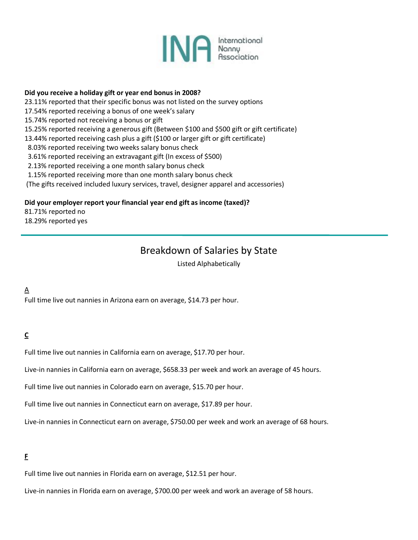

### **Did you receive a holiday gift or year end bonus in 2008?**

23.11% reported that their specific bonus was not listed on the survey options

- 17.54% reported receiving a bonus of one week's salary
- 15.74% reported not receiving a bonus or gift
- 15.25% reported receiving a generous gift (Between \$100 and \$500 gift or gift certificate)
- 13.44% reported receiving cash plus a gift (\$100 or larger gift or gift certificate)
- 8.03% reported receiving two weeks salary bonus check
- 3.61% reported receiving an extravagant gift (In excess of \$500)
- 2.13% reported receiving a one month salary bonus check
- 1.15% reported receiving more than one month salary bonus check
- (The gifts received included luxury services, travel, designer apparel and accessories)

### **Did your employer report your financial year end gift as income (taxed)?**

81.71% reported no 18.29% reported yes

## Breakdown of Salaries by State

Listed Alphabetically

## $\underline{A}$

Full time live out nannies in Arizona earn on average, \$14.73 per hour.

## **C**

Full time live out nannies in California earn on average, \$17.70 per hour.

Live-in nannies in California earn on average, \$658.33 per week and work an average of 45 hours.

Full time live out nannies in Colorado earn on average, \$15.70 per hour.

Full time live out nannies in Connecticut earn on average, \$17.89 per hour.

Live-in nannies in Connecticut earn on average, \$750.00 per week and work an average of 68 hours.

### **F**

Full time live out nannies in Florida earn on average, \$12.51 per hour.

Live-in nannies in Florida earn on average, \$700.00 per week and work an average of 58 hours.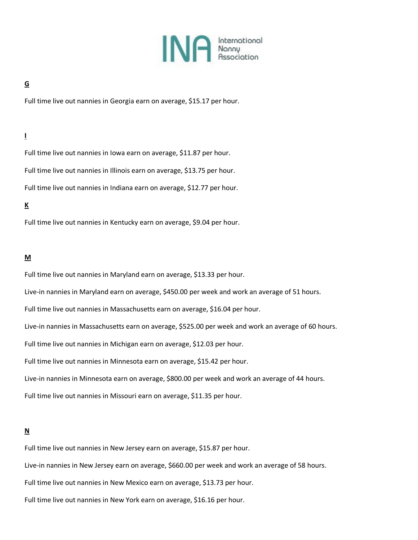

### **G**

Full time live out nannies in Georgia earn on average, \$15.17 per hour.

## **I**

Full time live out nannies in Iowa earn on average, \$11.87 per hour. Full time live out nannies in Illinois earn on average, \$13.75 per hour. Full time live out nannies in Indiana earn on average, \$12.77 per hour.

### **K**

Full time live out nannies in Kentucky earn on average, \$9.04 per hour.

#### **M**

Full time live out nannies in Maryland earn on average, \$13.33 per hour.

Live-in nannies in Maryland earn on average, \$450.00 per week and work an average of 51 hours.

Full time live out nannies in Massachusetts earn on average, \$16.04 per hour.

Live-in nannies in Massachusetts earn on average, \$525.00 per week and work an average of 60 hours.

Full time live out nannies in Michigan earn on average, \$12.03 per hour.

Full time live out nannies in Minnesota earn on average, \$15.42 per hour.

Live-in nannies in Minnesota earn on average, \$800.00 per week and work an average of 44 hours.

Full time live out nannies in Missouri earn on average, \$11.35 per hour.

### **N**

Full time live out nannies in New Jersey earn on average, \$15.87 per hour.

Live-in nannies in New Jersey earn on average, \$660.00 per week and work an average of 58 hours.

Full time live out nannies in New Mexico earn on average, \$13.73 per hour.

Full time live out nannies in New York earn on average, \$16.16 per hour.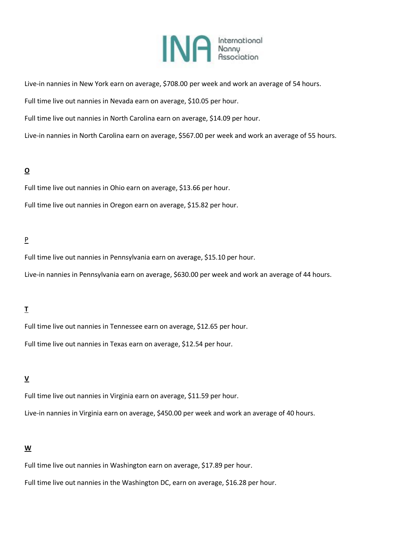

Live-in nannies in New York earn on average, \$708.00 per week and work an average of 54 hours.

Full time live out nannies in Nevada earn on average, \$10.05 per hour.

Full time live out nannies in North Carolina earn on average, \$14.09 per hour.

Live-in nannies in North Carolina earn on average, \$567.00 per week and work an average of 55 hours.

### **O**

Full time live out nannies in Ohio earn on average, \$13.66 per hour.

Full time live out nannies in Oregon earn on average, \$15.82 per hour.

### P

Full time live out nannies in Pennsylvania earn on average, \$15.10 per hour.

Live-in nannies in Pennsylvania earn on average, \$630.00 per week and work an average of 44 hours.

### **T**

Full time live out nannies in Tennessee earn on average, \$12.65 per hour.

Full time live out nannies in Texas earn on average, \$12.54 per hour.

### **V**

Full time live out nannies in Virginia earn on average, \$11.59 per hour. Live-in nannies in Virginia earn on average, \$450.00 per week and work an average of 40 hours.

### **W**

Full time live out nannies in Washington earn on average, \$17.89 per hour.

Full time live out nannies in the Washington DC, earn on average, \$16.28 per hour.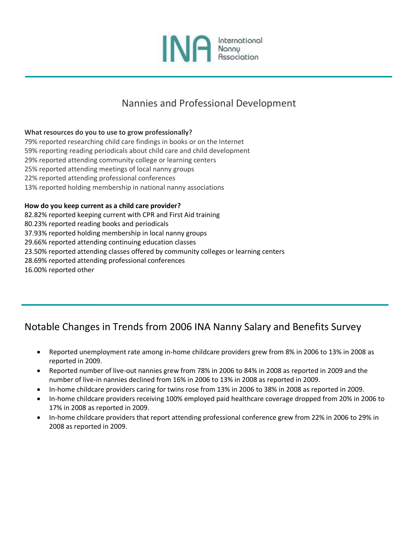

## Nannies and Professional Development

### **What resources do you to use to grow professionally?**

79% reported researching child care findings in books or on the Internet 59% reporting reading periodicals about child care and child development 29% reported attending community college or learning centers 25% reported attending meetings of local nanny groups 22% reported attending professional conferences 13% reported holding membership in national nanny associations

### **How do you keep current as a child care provider?**

82.82% reported keeping current with CPR and First Aid training

80.23% reported reading books and periodicals

37.93% reported holding membership in local nanny groups

29.66% reported attending continuing education classes

23.50% reported attending classes offered by community colleges or learning centers

28.69% reported attending professional conferences

16.00% reported other

# Notable Changes in Trends from 2006 INA Nanny Salary and Benefits Survey

- Reported unemployment rate among in-home childcare providers grew from 8% in 2006 to 13% in 2008 as reported in 2009.
- Reported number of live-out nannies grew from 78% in 2006 to 84% in 2008 as reported in 2009 and the number of live-in nannies declined from 16% in 2006 to 13% in 2008 as reported in 2009.
- In-home childcare providers caring for twins rose from 13% in 2006 to 38% in 2008 as reported in 2009.
- In-home childcare providers receiving 100% employed paid healthcare coverage dropped from 20% in 2006 to 17% in 2008 as reported in 2009.
- In-home childcare providers that report attending professional conference grew from 22% in 2006 to 29% in 2008 as reported in 2009.